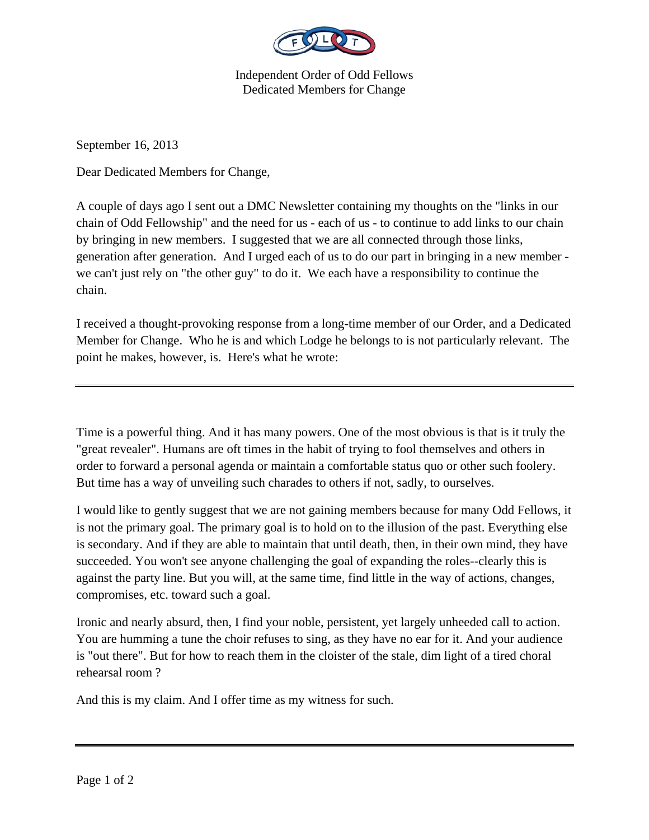

Independent Order of Odd Fellows Dedicated Members for Change

September 16, 2013

Dear Dedicated Members for Change,

A couple of days ago I sent out a DMC Newsletter containing my thoughts on the "links in our chain of Odd Fellowship" and the need for us - each of us - to continue to add links to our chain by bringing in new members. I suggested that we are all connected through those links, generation after generation. And I urged each of us to do our part in bringing in a new member we can't just rely on "the other guy" to do it. We each have a responsibility to continue the chain.

I received a thought-provoking response from a long-time member of our Order, and a Dedicated Member for Change. Who he is and which Lodge he belongs to is not particularly relevant. The point he makes, however, is. Here's what he wrote:

Time is a powerful thing. And it has many powers. One of the most obvious is that is it truly the "great revealer". Humans are oft times in the habit of trying to fool themselves and others in order to forward a personal agenda or maintain a comfortable status quo or other such foolery. But time has a way of unveiling such charades to others if not, sadly, to ourselves.

I would like to gently suggest that we are not gaining members because for many Odd Fellows, it is not the primary goal. The primary goal is to hold on to the illusion of the past. Everything else is secondary. And if they are able to maintain that until death, then, in their own mind, they have succeeded. You won't see anyone challenging the goal of expanding the roles--clearly this is against the party line. But you will, at the same time, find little in the way of actions, changes, compromises, etc. toward such a goal.

Ironic and nearly absurd, then, I find your noble, persistent, yet largely unheeded call to action. You are humming a tune the choir refuses to sing, as they have no ear for it. And your audience is "out there". But for how to reach them in the cloister of the stale, dim light of a tired choral rehearsal room ?

And this is my claim. And I offer time as my witness for such.